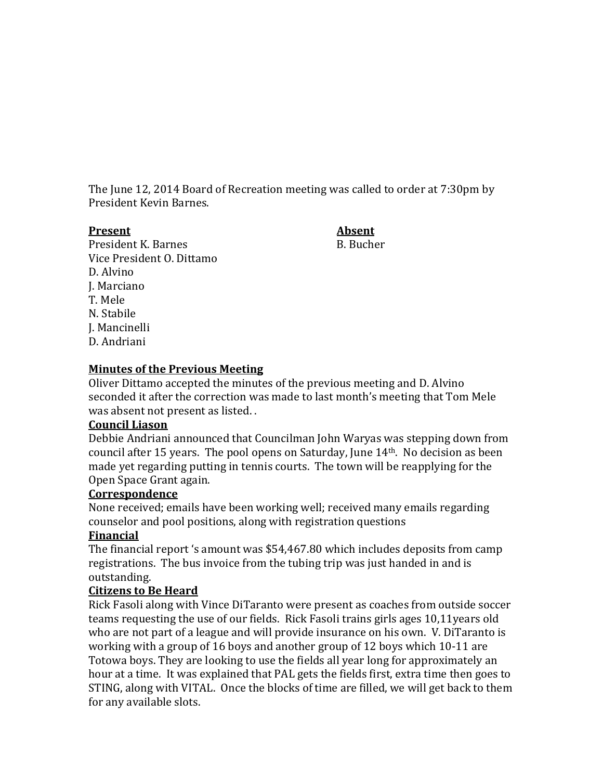The June 12, 2014 Board of Recreation meeting was called to order at 7:30pm by President Kevin Barnes.

#### **Present Absent**

President K. Barnes B. Bucher Vice President O. Dittamo D. Alvino J. Marciano T. Mele N. Stabile J. Mancinelli D. Andriani

#### **Minutes of the Previous Meeting**

Oliver Dittamo accepted the minutes of the previous meeting and D. Alvino seconded it after the correction was made to last month's meeting that Tom Mele was absent not present as listed. .

#### **Council Liason**

Debbie Andriani announced that Councilman John Waryas was stepping down from council after 15 years. The pool opens on Saturday, June 14th. No decision as been made yet regarding putting in tennis courts. The town will be reapplying for the Open Space Grant again.

#### **Correspondence**

None received; emails have been working well; received many emails regarding counselor and pool positions, along with registration questions

## **Financial**

The financial report 's amount was \$54,467.80 which includes deposits from camp registrations. The bus invoice from the tubing trip was just handed in and is outstanding.

## **Citizens to Be Heard**

Rick Fasoli along with Vince DiTaranto were present as coaches from outside soccer teams requesting the use of our fields. Rick Fasoli trains girls ages 10,11years old who are not part of a league and will provide insurance on his own. V. DiTaranto is working with a group of 16 boys and another group of 12 boys which 10-11 are Totowa boys. They are looking to use the fields all year long for approximately an hour at a time. It was explained that PAL gets the fields first, extra time then goes to STING, along with VITAL. Once the blocks of time are filled, we will get back to them for any available slots.